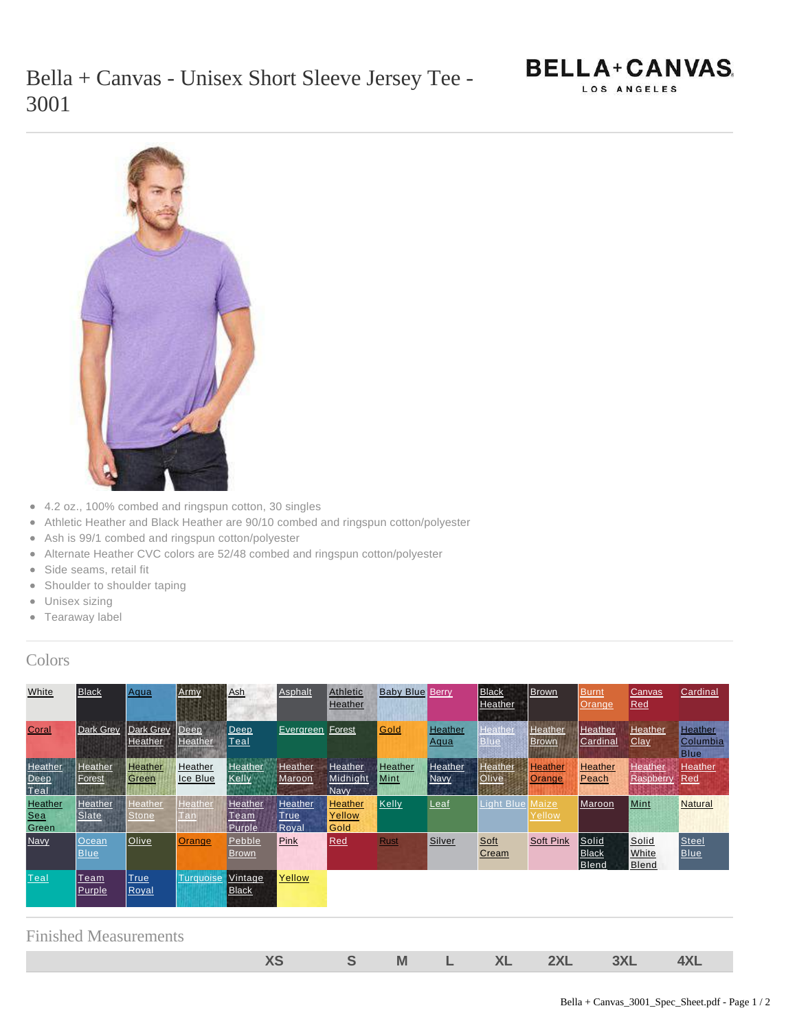



- 4.2 oz., 100% combed and ringspun cotton, 30 singles
- Athletic Heather and Black Heather are 90/10 combed and ringspun cotton/polyester
- Ash is 99/1 combed and ringspun cotton/polyester  $\bullet$
- Alternate Heather CVC colors are 52/48 combed and ringspun cotton/polyester
- Side seams, retail fit  $\bullet$
- Shoulder to shoulder taping
- Unisex sizing
- Tearaway label

## Colors

| White                          | <b>Black</b>         | Aqua                        | Army                   | Ash                          | Asphalt                          | <b>Athletic</b><br>Heather         | <b>Baby Blue Berry</b> |                               | <b>Black</b><br>Heather<br>17.143 | <b>Brown</b>             | <b>Burnt</b><br>Orange                | <b>Canvas</b><br>Red           | Cardinal                                  |
|--------------------------------|----------------------|-----------------------------|------------------------|------------------------------|----------------------------------|------------------------------------|------------------------|-------------------------------|-----------------------------------|--------------------------|---------------------------------------|--------------------------------|-------------------------------------------|
| Coral                          | <b>Dark Grey</b>     | <b>Dark Grey</b><br>Heather | Deep<br><b>Heather</b> | $\vert$ Deep<br><u> Teal</u> | Evergreen                        | Forest                             | Gold                   | Heather<br>Aqua               | Heather<br><b>Blue</b>            | Heather<br>Brown.        | Heather<br>Cardinal                   | Heather<br>Clay                | <b>Heather</b><br>Columbia<br><b>Blue</b> |
| Heather,<br>Deep<br>Teal       | Heather<br>Forest    | Heather<br>Green            | Heather<br>Ice Blue    | <b>Heather</b><br>Kelly      | <b>Heather</b><br>Maroon         | Heather<br>Midnight<br><b>Navy</b> | Heather<br>Mint        | <b>Heather</b><br><b>Navy</b> | Heather<br>Olive                  | <b>Heather</b><br>Orange | Heather<br>Peach                      | <b>Heather</b><br>Raspberry    | Heather<br><b>Red</b>                     |
| <b>Heather</b><br>Sea<br>Green | Heather<br>Slate     | Heather<br>Stone            | <b>Heather</b><br>Tan  | Heather<br>Team<br>Purple    | Heather,<br><b>True</b><br>Royal | <b>Heather</b><br>Yellow<br>Gold   | Kelly                  | Leaf                          | Light Blue                        | Maize<br>Yellow          | Maroon                                | Mint                           | <b>Natural</b>                            |
| <b>Navy</b>                    | Ocean<br><b>Blue</b> | Olive                       | Orange                 | Pebble<br>Brown              | Pink                             | <b>Red</b>                         | <b>Rust</b>            | <b>Silver</b>                 | Soft<br><b>Cream</b>              | <b>Soft Pink</b>         | Solid<br><b>Black</b><br><b>Blend</b> | Solid<br>White<br><b>Blend</b> | <b>Steel</b><br><b>Blue</b>               |
| Teal                           | Team<br>Purple       | True<br>Royal               | <b>Turquoise</b>       | Vintage<br>Black             | Yellow                           |                                    |                        |                               |                                   |                          |                                       |                                |                                           |
| <b>Finished Measurements</b>   |                      |                             |                        |                              |                                  |                                    |                        |                               |                                   |                          |                                       |                                |                                           |

**XS S M L XL 2XL 3XL 4XL**